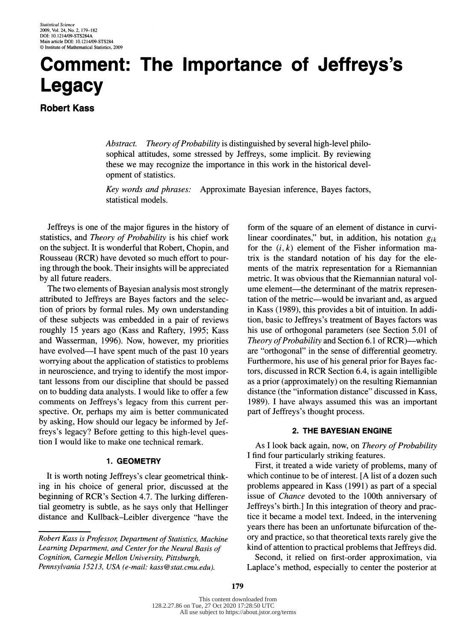# Comment: The Importance of Jeffreys's Legacy

Robert Kass

 Abstract. Theory of Probability is distinguished by several high-level philo sophical attitudes, some stressed by Jeffreys, some implicit. By reviewing these we may recognize the importance in this work in the historical devel opment of statistics.

 Key words and phrases: Approximate Bayesian inference, Bayes factors, statistical models.

 $\frac{1}{2}$  is one of the major figures in the motory statistics, and Theory of Probability is his chief work on the subject. It is wonderful that Robert, Chopin, and Rousseau (RCR) have devoted so much effort to pour ing through the book. Their insights will be appreciated by all future readers.

The two elements of Bayesian analysis most strongly attributed to Jeffreys are Bayes factors and the selecattributed to Jeffreys are Bayes factors and the set tion of priors by formal rules. My own understanding of these subjects was embedded in a pair of reviews roughly 15 years ago (Kass and Raftery, 1995; Kass and Wasserman, 1996). Now, however, my priorities and  $M$ asserman, 1996). Now, however, my priorities have evolved<sup>-1</sup> have spent much of the past 10 years worrying about the application of statistics to problems<br>in neuroscience, and trying to identify the most impor- $\frac{1}{2}$  in neuroscience, and trying to identify the most important tant lessons from our discipline that should be passed on to budding data analysts. I would like to offer a few comments on Jeffreys's legacy from this current per-<br>spective. Or, perhaps my aim is better communicated by asking, How should our legacy be informed by Jef- $\mathcal{L}_{\text{S}}$  asking, How should our legacy be informed by J freys's legacy? Before getting to this high-level ques tion I would like to make one technical remark.

### 1. GEOMETRY

 It is worth noting Jeffreys's clear geometrical think ing in his choice of general prior, discussed at the beginning of RCR's Section 4.7. The lurking differential geometry is subtle, as he says only that Hellinger  $t_{\text{max}}$  geometry is subtle, as he says only that Hellinger distance and Kullback-Leibler divergence "have the

 form of the square of an element of distance in curvi linear coordinates," but, in addition, his notation  $g_{ik}$ for the  $(i, k)$  element of the Fisher information ma trix is the standard notation of his day for the ele ments of the matrix representation for a Riemanni metric. It was obvious that the Riemannian natural voltage ume element—the determinant of the matrix representation of the metric—would be invariant and, as argued in Kass (1989), this provides a bit of intuition. In addi tion, basic to Jeffreys's treatment of Bayes factors was his use of orthogonal parameters (see Section 5.01 of Theory of Probability and Section 6.1 of RCR)—which Theory of Probability and Section 6.1 of RCR) which are "orthogonal" in the sense of differential geometry. Furthermore, his use of his general prior for Bayes fac tors, discussed in RCR Section 6.4, is again intelligible  $\frac{a_0}{b_1}$  and  $\frac{a_1}{b_2}$  (d)  $\frac{a_2}{b_1}$  on the resulting Riemannian distance (the "information distance" discussed in Ka 1989). I have always assumed this was an important part of Jeffreys's thought process.

### 2. THE BAYESIAN ENGINE

As I look back again, now, on Theory of Probability I find four particularly striking features.

 First, it treated a wide variety of problems, many of which continue to be of interest. [A list of a dozen such problems appeared in Kass (1991) as part of a special issue of Chance devoted to the 100th anniversary of Jeffreys's birth.] In this integration of theory and prac tice it became a model text. Indeed, in the intervening years there has been an unfortunate bifurcation of the ory and practice, so that theoretical texts rarely give the kind of attention to practical problems that Jeffreys did.

 Second, it relied on first-order approximation, via Laplace's method, especially to center the posterior at

Robert Kass is Professor, Department of Statistics, Machine Cognition, Carnegie Mellon University, Pittsburgh, Cognition, Carnegie metion University, Philodelphia Pennsylvania 15213, USA (e-mail: kass@stat.cmu.edu).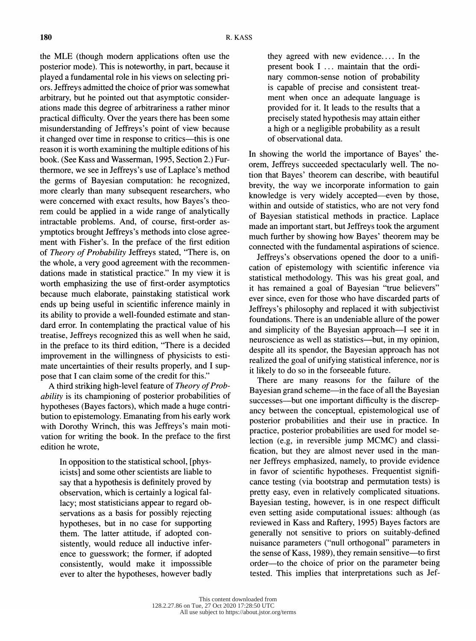the MLE (though modern applications often use the posterior mode). This is noteworthy, in part, because it played a fundamental role in his views on selecting priplayer ors. Jeffreys admitted the choice of prior was somewhat ors. Jeffreys admitted the choice of prior was somewhat arbitrary, but he pointed out that asymptotic consider ations made this degree of arbitrariness a rather minor practical difficulty. Over the years there has been some misunderstanding of Jeffreys's point of view because it changed over time in response to critics—this is one reason it is worth examining the multiple editions of his reason it is worth examining the multiple editions of his book. (See Kass and Wasserman, 1995, Section 2.) Furthermore, we see in Jeffreys's use of Laplace's method<br>the germs of Bayesian computation: he recognized, the germs of Bayesian computation: he recognized, more clearly than many subsequent researchers, who were concerned with exact results, how Bayes's theorem could be applied in a wide range of analytically intractable problems. And, of course, first-order asymptotics brought Jeffreys's methods into close agree ymptotics brought Jeffreys's methods into close agree ment with Fisher's. In the preface of the first edition of *Theory of Probability* Jeffreys stated, "There is, on the whole, a very good agreement with the recommen the whole, a very good agreement with the recommen dations made in statistical practice." In my view it is worth emphasizing the use of first-order asymptotics because much elaborate, painstaking statistical work ends up being useful in scientific inference mainly in its ability to provide a well-founded estimate and standard error. In contemplating the practical value of his treatise, Jeffreys recognized this as well when he said, treatise, Jeffreys recognized this as well when he said, in the preface to its third edition, "There is a decided improvement in the willingness of physicists to esti-<br>mate uncertainties of their results properly, and I supmate uncertainties of their results properly, and I sup

 pose that I can claim some of the credit for this." A third striking high-level feature of Theory of Prob ability is its championing of posterior probabilities of hypotheses (Bayes factors), which made a huge contribution to epistemology. Emanating from his early work button to epistemology. Emanating from his early work with Dorothy Wrinch, this was Jeffreys's main moti vation for writing the book. In the preface to the first edition he wrote,

> In opposition to the statistical school, [phys icists] and some other scientists are liable to say that a hypothesis is definitely proved by observation, which is certainly a logical fal lacy; most statisticians appear to regard ob servations as a basis for possibly rejecting hypotheses, but in no case for supporting them. The latter attitude, if adopted con sistently, would reduce all inductive infer ence to guesswork; the former, if adopted consistently, would make it imposssible ever to alter the hypotheses, however badly

they agreed with new evidence.... In the present book I ... maintain that the ordi nary common-sense notion of probability<br>is capable of precise and consistent treat is capable of precise and consistent treat ment when once an adequate language is provided for it. It leads to the results that a precisely stated hypothesis may attain either precisely stated hypothesis may attain either a high or a heghgrote probability as a result of observational data.

In showing the world the importance of Bayes' theorem, Jeffreys succeeded spectacularly well. The no orem, Jeffreys succeeded spectacularly well. The no tion that Bayes' theorem can describe, with beautiful brevity, the way we incorporate information to gain knowledge is very widely accepted—even by those, within and outside of statistics, who are not very fond of Bayesian statistical methods in practice. Laplace made an important start, but Jeffreys took the argument much further by showing how Bayes' theorem may be connected with the fundamental aspirations of science.

 Jeffreys's observations opened the door to a unifi cation of epistemology with scientific inference via statistical methodology. This was his great goal, and<br>it has remained a goal of Bayesian "true believers" it has remained a goal of Bayesian "true believers" ever since, even for those who have discarded parts of Jeffreys's philosophy and replaced it with subjectivist foundations. There is an undeniable allure of the power<br>and simplicity of the Bayesian approach—I see it in and simplicity of the Bayesian approach<sup>-1</sup> see it in  $\frac{1}{2}$  neuroscience as well as statistics<sup>-----</sup>but, in my opinion despite all its spendor, the Bayesian approach has not realized the goal of unifying statistical inference, nor is it likely to do so in the forseeable future. it likely to do so in the forseeable future.

There are many reasons for the failure of the Bayesian grand scheme<sup>----</sup>in the face of an the Bayesian successes<sup>-but</sup> one important difficulty is the discrep ancy between the conceptual, epistemological use of posterior probabilities and their use in practice. In practice, posterior probabilities are used for model se practice, posterior probabilities are used for model se lection (e.g, in reversible jump MCMC) and classi fication, but they are almost never used in the manner Jeffreys emphasized, namely, to provide evidence ner Jeffreys emphasized, namely, to provide evidence in favor of scientific hypotheses. Frequentist signifi cance testing (via bootstrap and permutation tests) is pretty easy, even in relatively complicated situations.<br>Bayesian testing, however, is in one respect difficult even setting aside computational issues: although (as even setting aside computational issues: although (as reviewed in Kass and Raftery,  $(1995)$  Bayes factors are generally not sensitive to priors on suitably-defined nuisance parameters ("null orthogonal" parameters in the sense of Kass,  $1989$ , they remain sensitive—to first order-to the choice of prior on the parameter being tested. This implies that interpretations such as Jef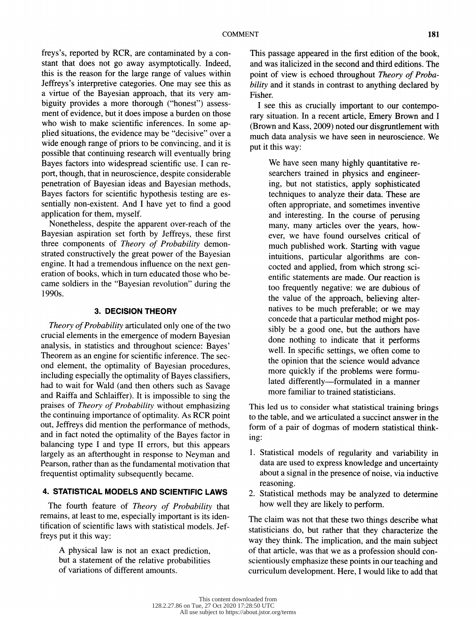freys's, reported by RCR, are contaminated by a con this is the reason for the large range of values within Jeffreys's interpretive categories. One may see this as a virtue of the Bayesian approach, that its very ama virtue of the Bayesian approach, that its very ambiguity provides a more thorough ("honest") assess- $\frac{1}{1}$  is the state in the state of  $\frac{1}{1}$  is the state of  $\frac{1}{1}$  is the state of  $\frac{1}{1}$ who wish to make scientific inferences. In some applied situations, the evidence may be "decisive" over a wide enough range of priors to be convincing, and it is possible that continuing research will eventually bring Bayes factors into widespread scientific use. I can report, though, that in neuroscience, despite considerable. penetration of Bayesian ideas and Bayesian methods, Bayes factors for scientific hypothesis testing are es- Bayes factors for scientific hypothesis testing are es sentially non-existent. And I have yet to find a good application for them, myself.<br>Nonetheless, despite the apparent over-reach of the

Bayesian aspiration set forth by Jeffreys, these first Bayesian aspiration set forth by Jeffreys, these first three components of Theory of Probability demonstrated constructively the great power of the Bayesian engine. It had a tremendous influence on the next gen eration of books, which in turn educated those who be came soldiers in the "Bayesian revolution" during the 1990s.

#### 3. DECISION THEORY

Theory of Probability articulated only one of the two crucial elements in the emergence of modern Bayesian analysis, in statistics and throughout science: Bayes' Theorem as an engine for scientific inference. The second element, the optimality of Bayesian procedures, including especially the optimality of Bayes classifiers. had to wait for Wald (and then others such as Savage and Raiffa and Schlaiffer). It is impossible to sing the praises of Theory of Probability without emphasizing the continuing importance of optimality. As RCR point out, Jeffreys did mention the performance of methods. and in fact noted the optimality of the Bayes factor in and in fact noted the optimality of the Bayes factor in the Bayes of the Bayes factor in the Bayes factor in the Bayes factor in the state of the Bayes factor in the state of the Bayes factor in the state of the state of t balancing type I and type II errors, but this appears largely as an afterthought in response to Neyman Pearson, rather than as the fundamental motivation that frequentist optimality subsequently became.

# 4. STATISTICAL MODELS AND SCIENTIFIC LAWS

The fourth feature of *Theory of Probability* that remains, at least to me, especially important is its idenremains, at least to me, especially important is no tification of scientific laws with statistical models. freys put it this way:

A physical law is not an exact prediction,<br>but a statement of the relative probabilities but a statement of the relative probability of variations of different amount

 This passage appeared in the first edition of the book, and was nancized in the second and third editions. point of view is echoed throughout Theory of Proba bility and it stands in contrast to any ming declare Fisher.

I see this as crucially important to our conten rary situation. In a recent article, Emery Brown  $(210 m)$  and  $1400$ ,  $200$ ) noted our disgruntement much data analysis we have seen in neuroscience. We put it this way:

We have seen many highly quantitative researchers trained in physics and engineering, but not statistics, apply sophisticated ing, but not statistics, apply sophistica teeningues to analyze their data. These often appropriate, and sometimes inventive and interesting. In the course of perus many, many articles over the years, h ever, we have found ourselves critical of much published work. Starting with vague much published work. Starting with vague intuitions, particular algorithms are con cocted and applied, from which strong entific statements are made. Our reaction too frequently negative: we are dubious of<br>the value of the approach, believing alternatives to be much preferable; or we may concede that a particular method might pos concede that a particular method might pos  $\frac{1}{2}$  be a good one, but the authors have  $\frac{11}{11}$   $\frac{1}{1}$   $\frac{1}{1}$   $\frac{1}{1}$   $\frac{1}{1}$   $\frac{1}{1}$   $\frac{1}{1}$   $\frac{1}{1}$   $\frac{1}{1}$   $\frac{1}{1}$   $\frac{1}{1}$   $\frac{1}{1}$   $\frac{1}{1}$   $\frac{1}{1}$   $\frac{1}{1}$   $\frac{1}{1}$   $\frac{1}{1}$   $\frac{1}{1}$   $\frac{1}{1}$   $\frac{1}{1}$   $\frac{1}{1}$   $\frac{1}{1}$ went in specific settings, we often com the opinion that the science would advance<br>more quickly if the problems were formumore quickly if the problems were form lated differently? formulated in a man more familiar to trained statisticians.

This led us to consider what statistical training b to the table, and we articulated a succinct answer in form of a pair of dogmas of modern statistical think ing:

- 1. Statistical models of regularity and variability in data are used to express knowledge and uncertainty about a signal in the presence of noise, via line reasoning.
- 2. Statistical methods may be analyzed to determine how well they are likely to perform.

The claim was not that these two things describe what statisticians do, but rather that they characterize the way they think. The implication, and the main subject of that article, was that we as a profession should conscientiously emphasize these points in our teaching and  $s = 1$  science these points in our teaching and  $s = 1$ current development. Here, I would like to add the